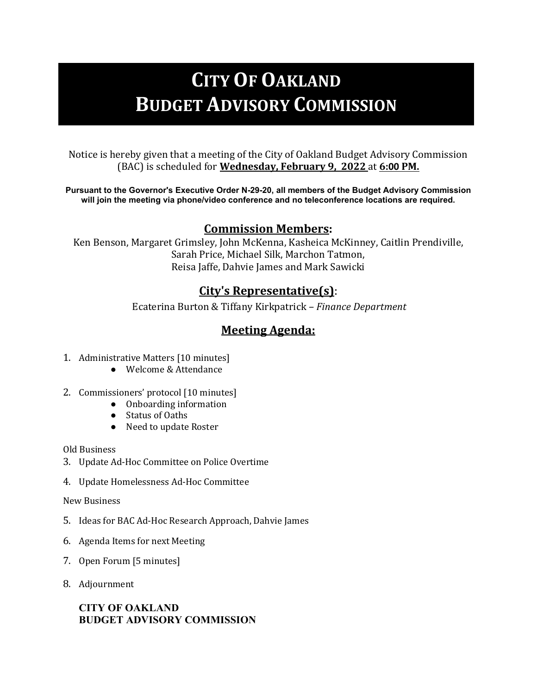# **CITY OF OAKLAND BUDGET ADVISORY COMMISSION**

Notice is hereby given that a meeting of the City of Oakland Budget Advisory Commission (BAC) is scheduled for **Wednesday, February 9, 2022** at **6:00 PM.** 

**Pursuant to the Governor's Executive Order N-29-20, all members of the Budget Advisory Commission will join the meeting via phone/video conference and no teleconference locations are required.**

## **Commission Members:**

Ken Benson, Margaret Grimsley, John McKenna, Kasheica McKinney, Caitlin Prendiville, Sarah Price, Michael Silk, Marchon Tatmon, Reisa Jaffe, Dahvie James and Mark Sawicki

## **City's Representative(s)**:

Ecaterina Burton & Tiffany Kirkpatrick – *Finance Department*

# **Meeting Agenda:**

- 1. Administrative Matters [10 minutes]
	- Welcome & Attendance
- 2. Commissioners' protocol [10 minutes]
	- Onboarding information
	- Status of Oaths
	- Need to update Roster

Old Business

- 3. Update Ad-Hoc Committee on Police Overtime
- 4. Update Homelessness Ad-Hoc Committee

#### New Business

- 5. Ideas for BAC Ad-Hoc Research Approach, Dahvie James
- 6. Agenda Items for next Meeting
- 7. Open Forum [5 minutes]
- 8. Adjournment

### **CITY OF OAKLAND BUDGET ADVISORY COMMISSION**